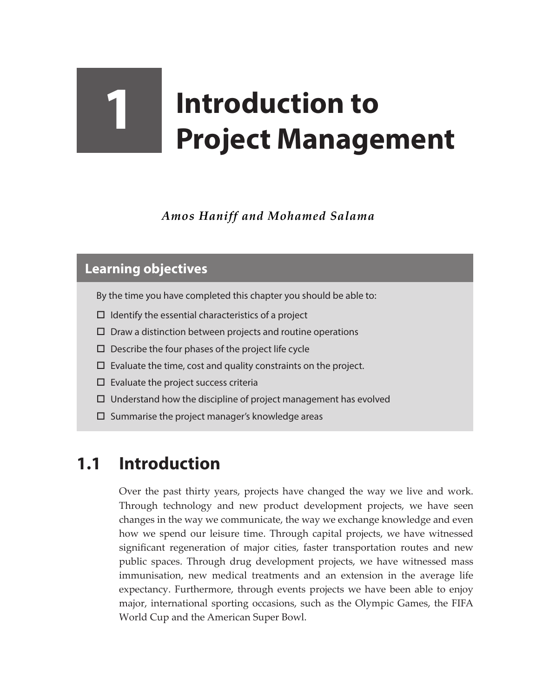## **1 Introduction to Project Management**

*Amos Haniff and Mohamed Salama*

## **Learning objectives**

By the time you have completed this chapter you should be able to:

- $\Box$  Identify the essential characteristics of a project
- $\square$  Draw a distinction between projects and routine operations
- $\square$  Describe the four phases of the project life cycle
- $\square$  Evaluate the time, cost and quality constraints on the project.
- $\square$  Evaluate the project success criteria
- $\Box$  Understand how the discipline of project management has evolved
- $\square$  Summarise the project manager's knowledge areas

## **1.1 Introduction**

Over the past thirty years, projects have changed the way we live and work. Through technology and new product development projects, we have seen changes in the way we communicate, the way we exchange knowledge and even how we spend our leisure time. Through capital projects, we have witnessed significant regeneration of major cities, faster transportation routes and new public spaces. Through drug development projects, we have witnessed mass immunisation, new medical treatments and an extension in the average life expectancy. Furthermore, through events projects we have been able to enjoy major, international sporting occasions, such as the Olympic Games, the FIFA World Cup and the American Super Bowl.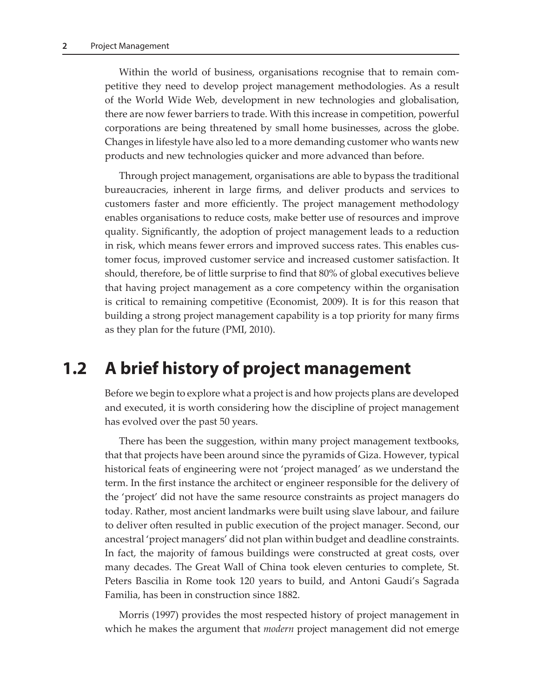Within the world of business, organisations recognise that to remain competitive they need to develop project management methodologies. As a result of the World Wide Web, development in new technologies and globalisation, there are now fewer barriers to trade. With this increase in competition, powerful corporations are being threatened by small home businesses, across the globe. Changes in lifestyle have also led to a more demanding customer who wants new products and new technologies quicker and more advanced than before.

Through project management, organisations are able to bypass the traditional bureaucracies, inherent in large firms, and deliver products and services to customers faster and more efficiently. The project management methodology enables organisations to reduce costs, make better use of resources and improve quality. Significantly, the adoption of project management leads to a reduction in risk, which means fewer errors and improved success rates. This enables customer focus, improved customer service and increased customer satisfaction. It should, therefore, be of little surprise to find that 80% of global executives believe that having project management as a core competency within the organisation is critical to remaining competitive (Economist, 2009). It is for this reason that building a strong project management capability is a top priority for many firms as they plan for the future (PMI, 2010).

## **1.2 A brief history of project management**

Before we begin to explore what a project is and how projects plans are developed and executed, it is worth considering how the discipline of project management has evolved over the past 50 years.

There has been the suggestion, within many project management textbooks, that that projects have been around since the pyramids of Giza. However, typical historical feats of engineering were not 'project managed' as we understand the term. In the first instance the architect or engineer responsible for the delivery of the 'project' did not have the same resource constraints as project managers do today. Rather, most ancient landmarks were built using slave labour, and failure to deliver often resulted in public execution of the project manager. Second, our ancestral 'project managers' did not plan within budget and deadline constraints. In fact, the majority of famous buildings were constructed at great costs, over many decades. The Great Wall of China took eleven centuries to complete, St. Peters Bascilia in Rome took 120 years to build, and Antoni Gaudi's Sagrada Familia, has been in construction since 1882.

Morris (1997) provides the most respected history of project management in which he makes the argument that *modern* project management did not emerge